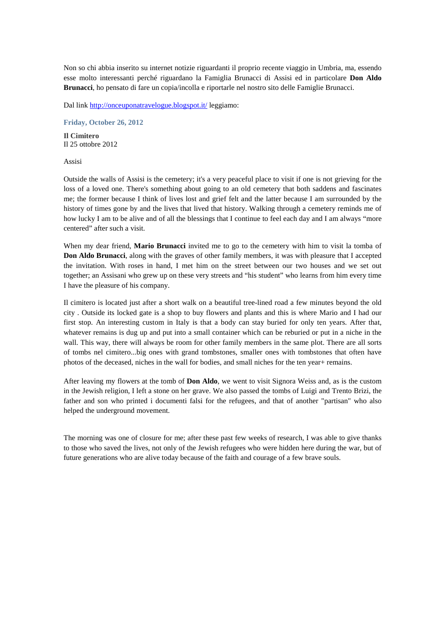Non so chi abbia inserito su internet notizie riguardanti il proprio recente viaggio in Umbria, ma, essendo esse molto interessanti perché riguardano la Famiglia Brunacci di Assisi ed in particolare **Don Aldo Brunacci**, ho pensato di fare un copia/incolla e riportarle nel nostro sito delle Famiglie Brunacci.

Dal link http://onceuponatravelogue.blogspot.it/ leggiamo:

**Friday, October 26, 2012 Il Cimitero**  Il 25 ottobre 2012

Assisi

Outside the walls of Assisi is the cemetery; it's a very peaceful place to visit if one is not grieving for the loss of a loved one. There's something about going to an old cemetery that both saddens and fascinates me; the former because I think of lives lost and grief felt and the latter because I am surrounded by the history of times gone by and the lives that lived that history. Walking through a cemetery reminds me of how lucky I am to be alive and of all the blessings that I continue to feel each day and I am always "more centered" after such a visit.

When my dear friend, **Mario Brunacci** invited me to go to the cemetery with him to visit la tomba of **Don Aldo Brunacci**, along with the graves of other family members, it was with pleasure that I accepted the invitation. With roses in hand, I met him on the street between our two houses and we set out together; an Assisani who grew up on these very streets and "his student" who learns from him every time I have the pleasure of his company.

Il cimitero is located just after a short walk on a beautiful tree-lined road a few minutes beyond the old city . Outside its locked gate is a shop to buy flowers and plants and this is where Mario and I had our first stop. An interesting custom in Italy is that a body can stay buried for only ten years. After that, whatever remains is dug up and put into a small container which can be reburied or put in a niche in the wall. This way, there will always be room for other family members in the same plot. There are all sorts of tombs nel cimitero...big ones with grand tombstones, smaller ones with tombstones that often have photos of the deceased, niches in the wall for bodies, and small niches for the ten year+ remains.

After leaving my flowers at the tomb of **Don Aldo**, we went to visit Signora Weiss and, as is the custom in the Jewish religion, I left a stone on her grave. We also passed the tombs of Luigi and Trento Brizi, the father and son who printed i documenti falsi for the refugees, and that of another "partisan" who also helped the underground movement.

The morning was one of closure for me; after these past few weeks of research, I was able to give thanks to those who saved the lives, not only of the Jewish refugees who were hidden here during the war, but of future generations who are alive today because of the faith and courage of a few brave souls.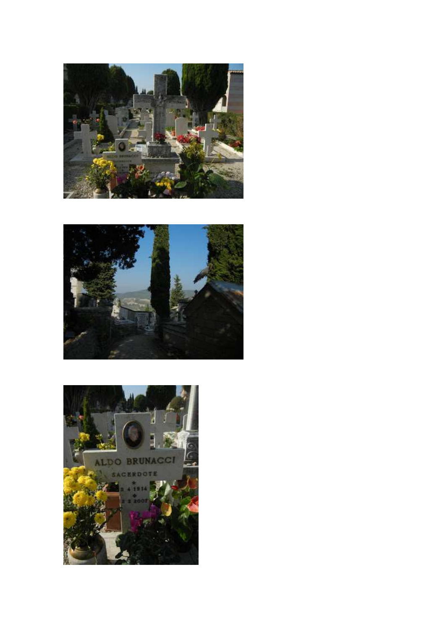



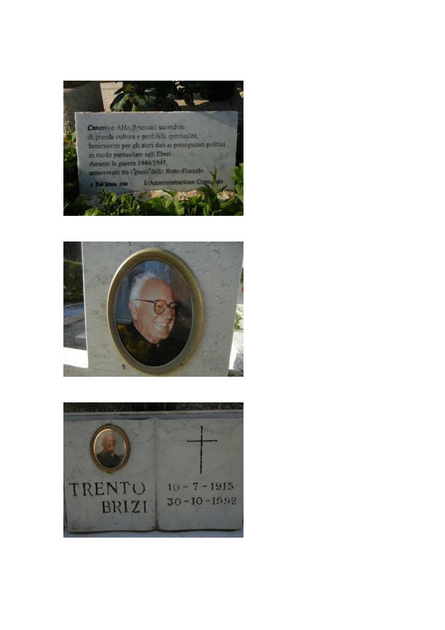



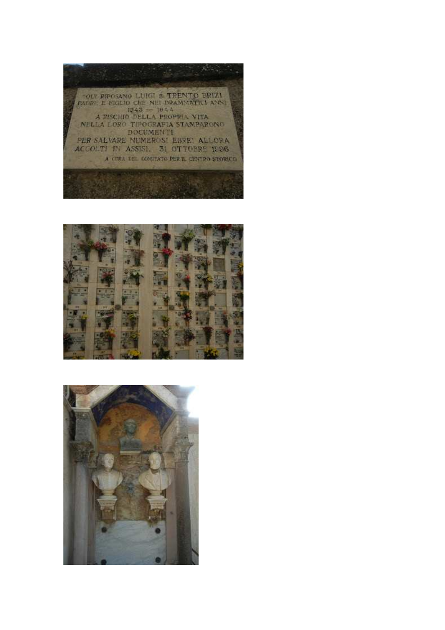PAPER & FIGLIO CHE NEI DRAMMATILI ANNIBILE FIGLIO CHE NEI DRAMMATILI ANNIBARO ISLA PROPPIA VITA NELLA PROPPIA VITA NELLA LORO TIPOGRAFIA STANPARONO DOCUMENTI PER SALVARE NUMEROSI EBREI ALLORA ACCOLTI IN ASSISI. 31 OTTOPRE A CURA DEL CONTENTO PER IL CENTRO STORICO



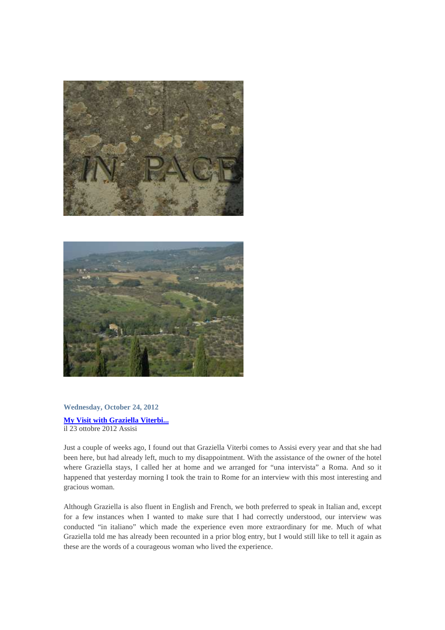



**Wednesday, October 24, 2012** 

**My Visit with Graziella Viterbi...**  il 23 ottobre 2012 Assisi

Just a couple of weeks ago, I found out that Graziella Viterbi comes to Assisi every year and that she had been here, but had already left, much to my disappointment. With the assistance of the owner of the hotel where Graziella stays, I called her at home and we arranged for "una intervista" a Roma. And so it happened that yesterday morning I took the train to Rome for an interview with this most interesting and gracious woman.

Although Graziella is also fluent in English and French, we both preferred to speak in Italian and, except for a few instances when I wanted to make sure that I had correctly understood, our interview was conducted "in italiano" which made the experience even more extraordinary for me. Much of what Graziella told me has already been recounted in a prior blog entry, but I would still like to tell it again as these are the words of a courageous woman who lived the experience.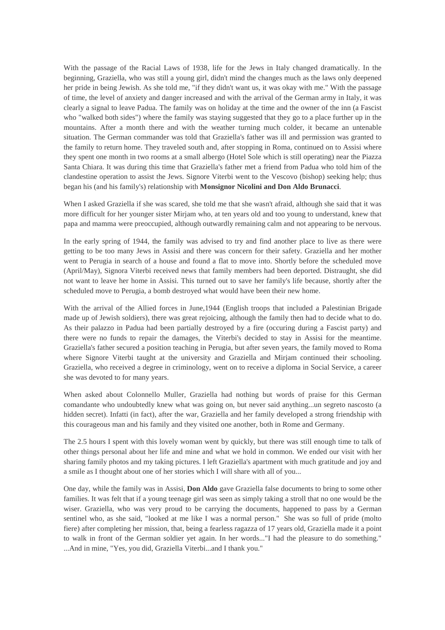With the passage of the Racial Laws of 1938, life for the Jews in Italy changed dramatically. In the beginning, Graziella, who was still a young girl, didn't mind the changes much as the laws only deepened her pride in being Jewish. As she told me, "if they didn't want us, it was okay with me." With the passage of time, the level of anxiety and danger increased and with the arrival of the German army in Italy, it was clearly a signal to leave Padua. The family was on holiday at the time and the owner of the inn (a Fascist who "walked both sides") where the family was staying suggested that they go to a place further up in the mountains. After a month there and with the weather turning much colder, it became an untenable situation. The German commander was told that Graziella's father was ill and permission was granted to the family to return home. They traveled south and, after stopping in Roma, continued on to Assisi where they spent one month in two rooms at a small albergo (Hotel Sole which is still operating) near the Piazza Santa Chiara. It was during this time that Graziella's father met a friend from Padua who told him of the clandestine operation to assist the Jews. Signore Viterbi went to the Vescovo (bishop) seeking help; thus began his (and his family's) relationship with **Monsignor Nicolini and Don Aldo Brunacci**.

When I asked Graziella if she was scared, she told me that she wasn't afraid, although she said that it was more difficult for her younger sister Mirjam who, at ten years old and too young to understand, knew that papa and mamma were preoccupied, although outwardly remaining calm and not appearing to be nervous.

In the early spring of 1944, the family was advised to try and find another place to live as there were getting to be too many Jews in Assisi and there was concern for their safety. Graziella and her mother went to Perugia in search of a house and found a flat to move into. Shortly before the scheduled move (April/May), Signora Viterbi received news that family members had been deported. Distraught, she did not want to leave her home in Assisi. This turned out to save her family's life because, shortly after the scheduled move to Perugia, a bomb destroyed what would have been their new home.

With the arrival of the Allied forces in June,1944 (English troops that included a Palestinian Brigade made up of Jewish soldiers), there was great rejoicing, although the family then had to decide what to do. As their palazzo in Padua had been partially destroyed by a fire (occuring during a Fascist party) and there were no funds to repair the damages, the Viterbi's decided to stay in Assisi for the meantime. Graziella's father secured a position teaching in Perugia, but after seven years, the family moved to Roma where Signore Viterbi taught at the university and Graziella and Mirjam continued their schooling. Graziella, who received a degree in criminology, went on to receive a diploma in Social Service, a career she was devoted to for many years.

When asked about Colonnello Muller, Graziella had nothing but words of praise for this German comandante who undoubtedly knew what was going on, but never said anything...un segreto nascosto (a hidden secret). Infatti (in fact), after the war, Graziella and her family developed a strong friendship with this courageous man and his family and they visited one another, both in Rome and Germany.

The 2.5 hours I spent with this lovely woman went by quickly, but there was still enough time to talk of other things personal about her life and mine and what we hold in common. We ended our visit with her sharing family photos and my taking pictures. I left Graziella's apartment with much gratitude and joy and a smile as I thought about one of her stories which I will share with all of you...

One day, while the family was in Assisi, **Don Aldo** gave Graziella false documents to bring to some other families. It was felt that if a young teenage girl was seen as simply taking a stroll that no one would be the wiser. Graziella, who was very proud to be carrying the documents, happened to pass by a German sentinel who, as she said, "looked at me like I was a normal person." She was so full of pride (molto fiere) after completing her mission, that, being a fearless ragazza of 17 years old, Graziella made it a point to walk in front of the German soldier yet again. In her words..."I had the pleasure to do something." ...And in mine, "Yes, you did, Graziella Viterbi...and I thank you."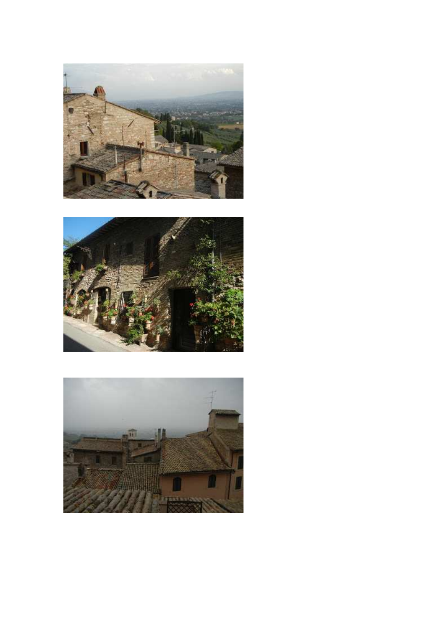



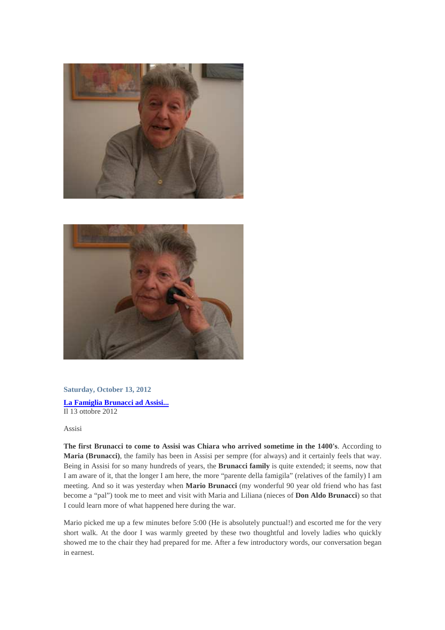



**Saturday, October 13, 2012 La Famiglia Brunacci ad Assisi...**  Il 13 ottobre 2012

Assisi

**The first Brunacci to come to Assisi was Chiara who arrived sometime in the 1400's**. According to **Maria (Brunacci)**, the family has been in Assisi per sempre (for always) and it certainly feels that way. Being in Assisi for so many hundreds of years, the **Brunacci family** is quite extended; it seems, now that I am aware of it, that the longer I am here, the more "parente della famigila" (relatives of the family) I am meeting. And so it was yesterday when **Mario Brunacci** (my wonderful 90 year old friend who has fast become a "pal") took me to meet and visit with Maria and Liliana (nieces of **Don Aldo Brunacci**) so that I could learn more of what happened here during the war.

Mario picked me up a few minutes before 5:00 (He is absolutely punctual!) and escorted me for the very short walk. At the door I was warmly greeted by these two thoughtful and lovely ladies who quickly showed me to the chair they had prepared for me. After a few introductory words, our conversation began in earnest.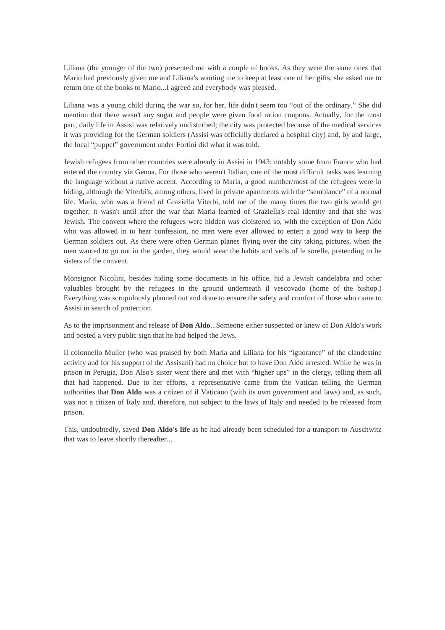Liliana (the younger of the two) presented me with a couple of books. As they were the same ones that Mario had previously given me and Liliana's wanting me to keep at least one of her gifts, she asked me to return one of the books to Mario...I agreed and everybody was pleased.

Liliana was a young child during the war so, for her, life didn't seem too "out of the ordinary." She did mention that there wasn't any sugar and people were given food ration coupons. Actually, for the most part, daily life in Assisi was relatively undisturbed; the city was protected because of the medical services it was providing for the German soldiers (Assisi was officially declared a hospital city) and, by and large, the local "puppet" government under Fortini did what it was told.

Jewish refugees from other countries were already in Assisi in 1943; notably some from France who had entered the country via Genoa. For those who weren't Italian, one of the most difficult tasks was learning the language without a native accent. According to Maria, a good number/most of the refugees were in hiding, although the Viterbi's, among others, lived in private apartments with the "semblance" of a normal life. Maria, who was a friend of Graziella Viterbi, told me of the many times the two girls would get together; it wasn't until after the war that Maria learned of Graziella's real identity and that she was Jewish. The convent where the refugees were hidden was cloistered so, with the exception of Don Aldo who was allowed in to hear confession, no men were ever allowed to enter; a good way to keep the German soldiers out. As there were often German planes flying over the city taking pictures, when the men wanted to go out in the garden, they would wear the habits and veils of le sorelle, pretending to be sisters of the convent.

Monsignor Nicolini, besides hiding some documents in his office, hid a Jewish candelabra and other valuables brought by the refugees in the ground underneath il vescovado (home of the bishop.) Everything was scrupulously planned out and done to ensure the safety and comfort of those who came to Assisi in search of protection.

As to the imprisonment and release of **Don Aldo**...Someone either suspected or knew of Don Aldo's work and posted a very public sign that he had helped the Jews.

Il colonnello Muller (who was praised by both Maria and Liliana for his "ignorance" of the clandestine activity and for his support of the Assisani) had no choice but to have Don Aldo arrested. While he was in prison in Perugia, Don Also's sister went there and met with "higher ups" in the clergy, telling them all that had happened. Due to her efforts, a representative came from the Vatican telling the German authorities that **Don Aldo** was a citizen of il Vaticano (with its own government and laws) and, as such, was not a citizen of Italy and, therefore, not subject to the laws of Italy and needed to be released from prison.

This, undoubtedly, saved **Don Aldo's life** as he had already been scheduled for a transport to Auschwitz that was to leave shortly thereafter...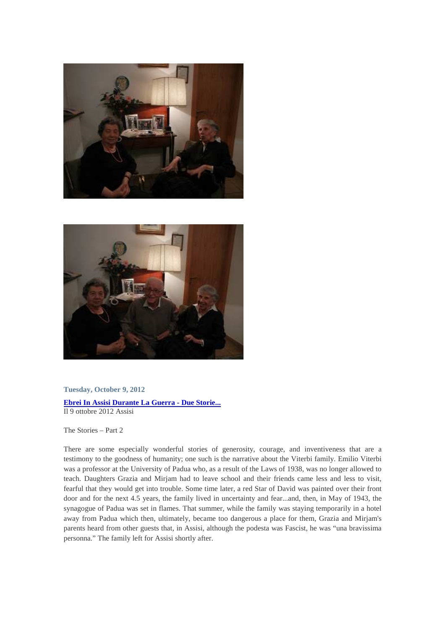



**Tuesday, October 9, 2012 Ebrei In Assisi Durante La Guerra - Due Storie...**  Il 9 ottobre 2012 Assisi

The Stories – Part 2

There are some especially wonderful stories of generosity, courage, and inventiveness that are a testimony to the goodness of humanity; one such is the narrative about the Viterbi family. Emilio Viterbi was a professor at the University of Padua who, as a result of the Laws of 1938, was no longer allowed to teach. Daughters Grazia and Mirjam had to leave school and their friends came less and less to visit, fearful that they would get into trouble. Some time later, a red Star of David was painted over their front door and for the next 4.5 years, the family lived in uncertainty and fear...and, then, in May of 1943, the synagogue of Padua was set in flames. That summer, while the family was staying temporarily in a hotel away from Padua which then, ultimately, became too dangerous a place for them, Grazia and Mirjam's parents heard from other guests that, in Assisi, although the podesta was Fascist, he was "una bravissima personna." The family left for Assisi shortly after.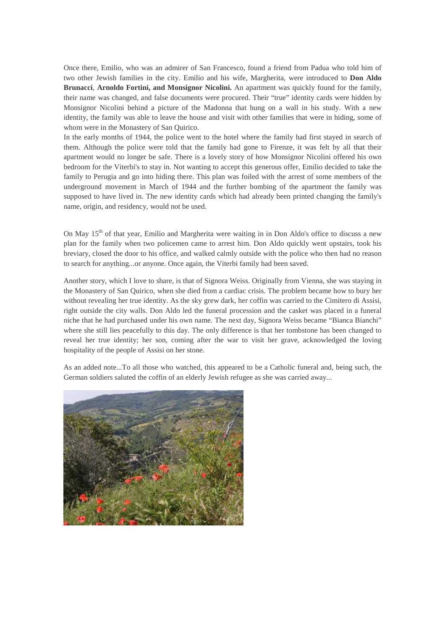Once there, Emilio, who was an admirer of San Francesco, found a friend from Padua who told him of two other Jewish families in the city. Emilio and his wife, Margherita, were introduced to **Don Aldo Brunacci**, **Arnoldo Fortini, and Monsignor Nicolini.** An apartment was quickly found for the family, their name was changed, and false documents were procured. Their "true" identity cards were hidden by Monsignor Nicolini behind a picture of the Madonna that hung on a wall in his study. With a new identity, the family was able to leave the house and visit with other families that were in hiding, some of whom were in the Monastery of San Quirico.

In the early months of 1944, the police went to the hotel where the family had first stayed in search of them. Although the police were told that the family had gone to Firenze, it was felt by all that their apartment would no longer be safe. There is a lovely story of how Monsignor Nicolini offered his own bedroom for the Viterbi's to stay in. Not wanting to accept this generous offer, Emilio decided to take the family to Perugia and go into hiding there. This plan was foiled with the arrest of some members of the underground movement in March of 1944 and the further bombing of the apartment the family was supposed to have lived in. The new identity cards which had already been printed changing the family's name, origin, and residency, would not be used.

On May  $15<sup>th</sup>$  of that year, Emilio and Margherita were waiting in in Don Aldo's office to discuss a new plan for the family when two policemen came to arrest him. Don Aldo quickly went upstairs, took his breviary, closed the door to his office, and walked calmly outside with the police who then had no reason to search for anything...or anyone. Once again, the Viterbi family had been saved.

Another story, which I love to share, is that of Signora Weiss. Originally from Vienna, she was staying in the Monastery of San Quirico, when she died from a cardiac crisis. The problem became how to bury her without revealing her true identity. As the sky grew dark, her coffin was carried to the Cimitero di Assisi, right outside the city walls. Don Aldo led the funeral procession and the casket was placed in a funeral niche that he had purchased under his own name. The next day, Signora Weiss became "Bianca Bianchi" where she still lies peacefully to this day. The only difference is that her tombstone has been changed to reveal her true identity; her son, coming after the war to visit her grave, acknowledged the loving hospitality of the people of Assisi on her stone.

As an added note...To all those who watched, this appeared to be a Catholic funeral and, being such, the German soldiers saluted the coffin of an elderly Jewish refugee as she was carried away...